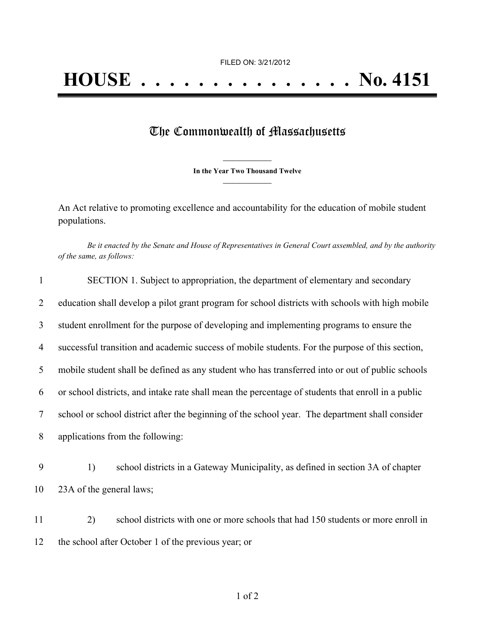## The Commonwealth of Massachusetts

**\_\_\_\_\_\_\_\_\_\_\_\_\_\_\_ In the Year Two Thousand Twelve \_\_\_\_\_\_\_\_\_\_\_\_\_\_\_**

An Act relative to promoting excellence and accountability for the education of mobile student populations.

Be it enacted by the Senate and House of Representatives in General Court assembled, and by the authority *of the same, as follows:*

| $\mathbf{1}$   | SECTION 1. Subject to appropriation, the department of elementary and secondary                    |
|----------------|----------------------------------------------------------------------------------------------------|
| 2              | education shall develop a pilot grant program for school districts with schools with high mobile   |
| 3              | student enrollment for the purpose of developing and implementing programs to ensure the           |
| $\overline{4}$ | successful transition and academic success of mobile students. For the purpose of this section,    |
| 5              | mobile student shall be defined as any student who has transferred into or out of public schools   |
| 6              | or school districts, and intake rate shall mean the percentage of students that enroll in a public |
| 7              | school or school district after the beginning of the school year. The department shall consider    |
| 8              | applications from the following:                                                                   |
| 9              | school districts in a Gateway Municipality, as defined in section 3A of chapter<br>1)              |
| 10             | 23A of the general laws;                                                                           |
| 11             | 2)<br>school districts with one or more schools that had 150 students or more enroll in            |
| 12             | the school after October 1 of the previous year; or                                                |